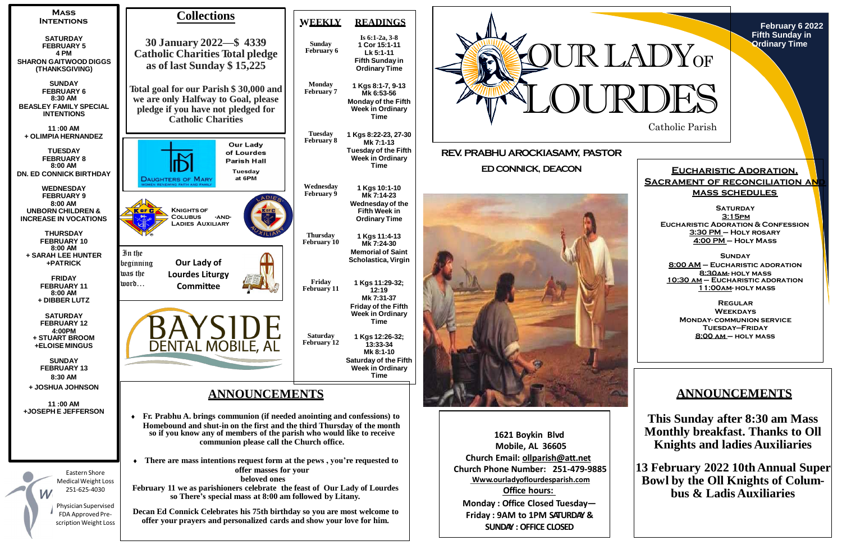







**1621 Boykin Blvd Mobile, AL 36605 Church Email: [ollparish@att.net](mailto:ollparish@att.net) Church Phone Number: 251-479-9885 Www.ourladyoflourdesparish.com Office hours: Monday : Office Closed Tuesday— Friday : 9AM to 1PM SATURDAY & SUNDAY : OFFICE CLOSED**

**SATURDAY 3:15pm Eucharistic Adoration & Confession 3:30 PM – Holy rosary 4:00 PM – Holy Mass**

# **ANNOUNCEMENTS**

**This Sunday after 8:30 am Mass Monthly breakfast. Thanks to Oll Knights and ladies Auxiliaries**

**13 February 2022 10thAnnual Super Bowl by the Oll Knights of Columbus & Ladis Auxiliaries**

## **Eucharistic Adoration, SACRAMENT OF RECONCILIATION AN mass schedules**

**Sunday 8:00 AM – Eucharistic adoration 8:30am- holy mass 10:30 am – Eucharistic adoration 11:00am- holy mass**

**Regular Weekdays Monday- communion service Tuesday—Friday 8:00 am – holy mass**